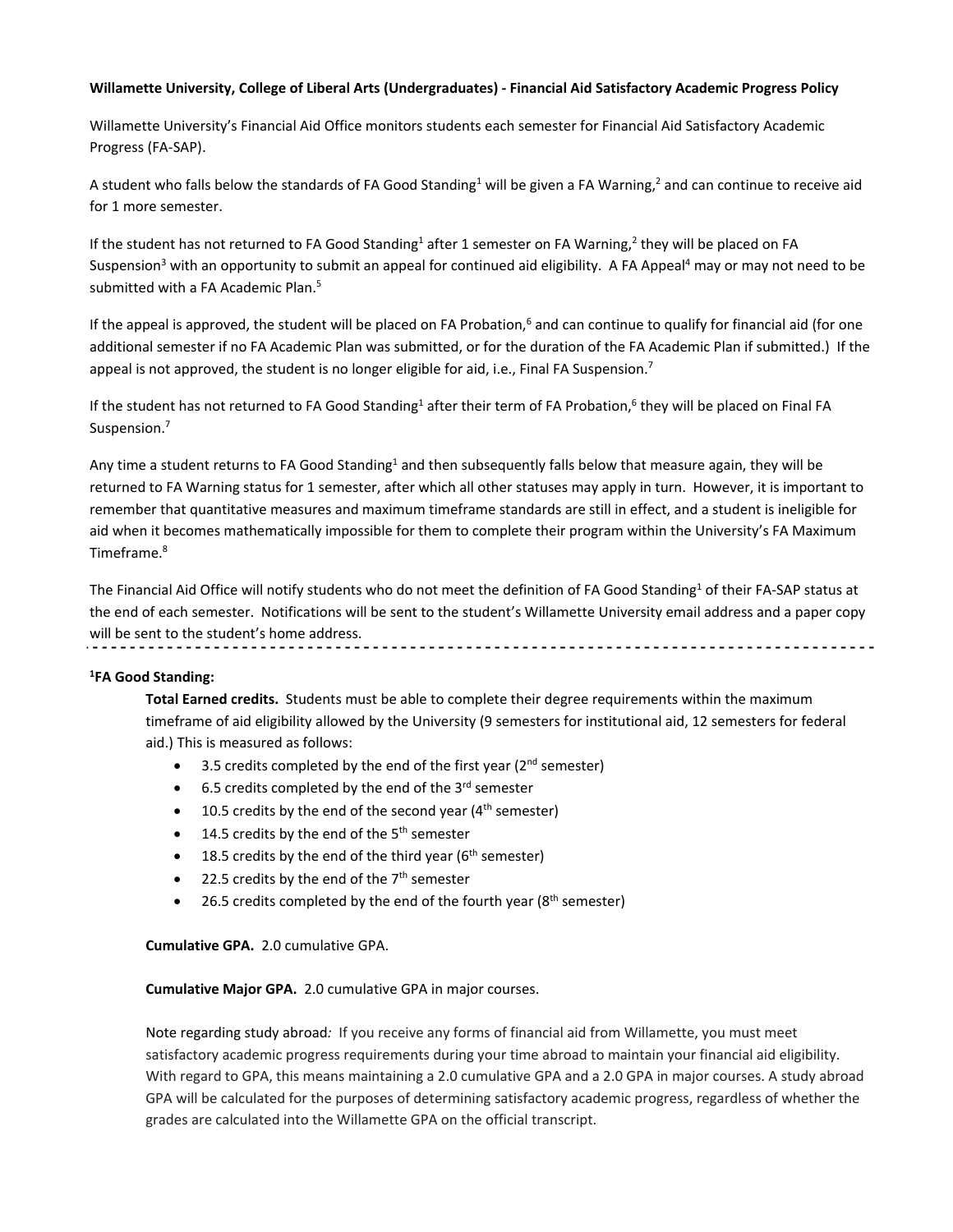## **Willamette University, College of Liberal Arts (Undergraduates) ‐ Financial Aid Satisfactory Academic Progress Policy**

Willamette University's Financial Aid Office monitors students each semester for Financial Aid Satisfactory Academic Progress (FA‐SAP).

A student who falls below the standards of FA Good Standing<sup>1</sup> will be given a FA Warning,<sup>2</sup> and can continue to receive aid for 1 more semester.

If the student has not returned to FA Good Standing<sup>1</sup> after 1 semester on FA Warning,<sup>2</sup> they will be placed on FA Suspension<sup>3</sup> with an opportunity to submit an appeal for continued aid eligibility. A FA Appeal<sup>4</sup> may or may not need to be submitted with a FA Academic Plan.<sup>5</sup>

If the appeal is approved, the student will be placed on FA Probation,<sup>6</sup> and can continue to qualify for financial aid (for one additional semester if no FA Academic Plan was submitted, or for the duration of the FA Academic Plan if submitted.) If the appeal is not approved, the student is no longer eligible for aid, i.e., Final FA Suspension.<sup>7</sup>

If the student has not returned to FA Good Standing<sup>1</sup> after their term of FA Probation,<sup>6</sup> they will be placed on Final FA Suspension.<sup>7</sup>

Any time a student returns to FA Good Standing<sup>1</sup> and then subsequently falls below that measure again, they will be returned to FA Warning status for 1 semester, after which all other statuses may apply in turn. However, it is important to remember that quantitative measures and maximum timeframe standards are still in effect, and a student is ineligible for aid when it becomes mathematically impossible for them to complete their program within the University's FA Maximum Timeframe.8

The Financial Aid Office will notify students who do not meet the definition of FA Good Standing<sup>1</sup> of their FA-SAP status at the end of each semester. Notifications will be sent to the student's Willamette University email address and a paper copy will be sent to the student's home address.

## **1 FA Good Standing:**

**Total Earned credits.** Students must be able to complete their degree requirements within the maximum timeframe of aid eligibility allowed by the University (9 semesters for institutional aid, 12 semesters for federal aid.) This is measured as follows:

- $\bullet$  3.5 credits completed by the end of the first year ( $2<sup>nd</sup>$  semester)
- 6.5 credits completed by the end of the  $3<sup>rd</sup>$  semester
- 10.5 credits by the end of the second year  $(4<sup>th</sup>$  semester)
- 14.5 credits by the end of the  $5<sup>th</sup>$  semester
- 18.5 credits by the end of the third year ( $6<sup>th</sup>$  semester)
- 22.5 credits by the end of the  $7<sup>th</sup>$  semester
- 26.5 credits completed by the end of the fourth year ( $8<sup>th</sup>$  semester)

**Cumulative GPA.** 2.0 cumulative GPA.

**Cumulative Major GPA.** 2.0 cumulative GPA in major courses.

Note regarding study abroad*:* If you receive any forms of financial aid from Willamette, you must meet satisfactory academic progress requirements during your time abroad to maintain your financial aid eligibility. With regard to GPA, this means maintaining a 2.0 cumulative GPA and a 2.0 GPA in major courses. A study abroad GPA will be calculated for the purposes of determining satisfactory academic progress, regardless of whether the grades are calculated into the Willamette GPA on the official transcript.